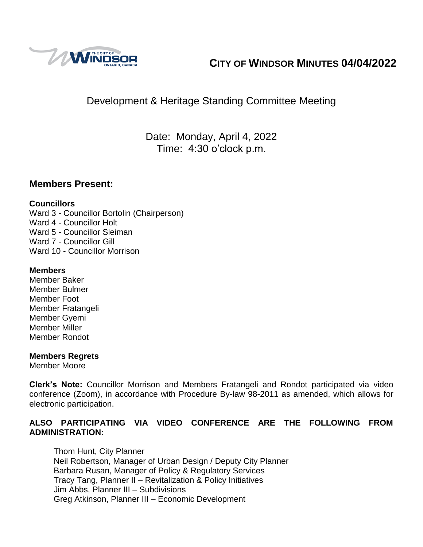

# **CITY OF WINDSOR MINUTES 04/04/2022**

# Development & Heritage Standing Committee Meeting

Date: Monday, April 4, 2022 Time: 4:30 o'clock p.m.

## **Members Present:**

## **Councillors**

Ward 3 - Councillor Bortolin (Chairperson) Ward 4 - Councillor Holt Ward 5 - Councillor Sleiman Ward 7 - Councillor Gill Ward 10 - Councillor Morrison

## **Members**

Member Baker Member Bulmer Member Foot Member Fratangeli Member Gyemi Member Miller Member Rondot

## **Members Regrets**

Member Moore

**Clerk's Note:** Councillor Morrison and Members Fratangeli and Rondot participated via video conference (Zoom), in accordance with Procedure By-law 98-2011 as amended, which allows for electronic participation.

## **ALSO PARTICIPATING VIA VIDEO CONFERENCE ARE THE FOLLOWING FROM ADMINISTRATION:**

Thom Hunt, City Planner Neil Robertson, Manager of Urban Design / Deputy City Planner Barbara Rusan, Manager of Policy & Regulatory Services Tracy Tang, Planner II – Revitalization & Policy Initiatives Jim Abbs, Planner III – Subdivisions Greg Atkinson, Planner III – Economic Development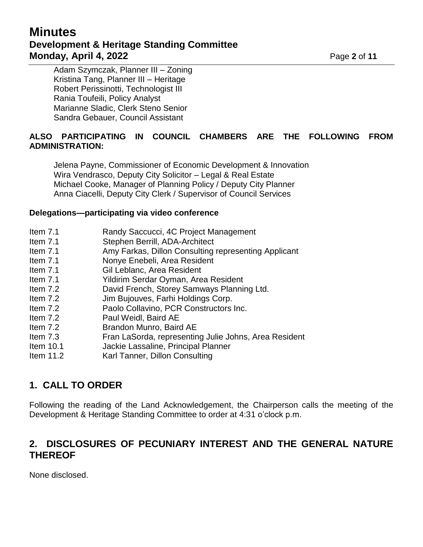# **Minutes Development & Heritage Standing Committee Monday, April 4, 2022 Page 2** of 11

Adam Szymczak, Planner III – Zoning Kristina Tang, Planner III – Heritage Robert Perissinotti, Technologist III Rania Toufeili, Policy Analyst Marianne Sladic, Clerk Steno Senior Sandra Gebauer, Council Assistant

## **ALSO PARTICIPATING IN COUNCIL CHAMBERS ARE THE FOLLOWING FROM ADMINISTRATION:**

Jelena Payne, Commissioner of Economic Development & Innovation Wira Vendrasco, Deputy City Solicitor – Legal & Real Estate Michael Cooke, Manager of Planning Policy / Deputy City Planner Anna Ciacelli, Deputy City Clerk / Supervisor of Council Services

### **Delegations—participating via video conference**

- Item 7.1 Randy Saccucci, 4C Project Management
- Item 7.1 Stephen Berrill, ADA-Architect
- Item 7.1 Amy Farkas, Dillon Consulting representing Applicant
- Item 7.1 Nonye Enebeli, Area Resident
- Item 7.1 Gil Leblanc, Area Resident
- Item 7.1 Yildirim Serdar Oyman, Area Resident
- Item 7.2 David French, Storey Samways Planning Ltd.
- Item 7.2 Jim Bujouves, Farhi Holdings Corp.
- Item 7.2 Paolo Collavino, PCR Constructors Inc.
- Item 7.2 Paul Weidl, Baird AE
- Item 7.2 Brandon Munro, Baird AE
- Item 7.3 Fran LaSorda, representing Julie Johns, Area Resident
- Item 10.1 Jackie Lassaline, Principal Planner
- Item 11.2 Karl Tanner, Dillon Consulting

## **1. CALL TO ORDER**

Following the reading of the Land Acknowledgement, the Chairperson calls the meeting of the Development & Heritage Standing Committee to order at 4:31 o'clock p.m.

## **2. DISCLOSURES OF PECUNIARY INTEREST AND THE GENERAL NATURE THEREOF**

None disclosed.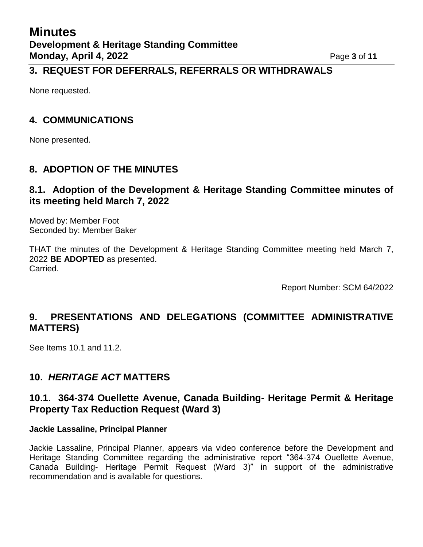## **3. REQUEST FOR DEFERRALS, REFERRALS OR WITHDRAWALS**

None requested.

## **4. COMMUNICATIONS**

None presented.

## **8. ADOPTION OF THE MINUTES**

## **8.1. Adoption of the Development & Heritage Standing Committee minutes of its meeting held March 7, 2022**

Moved by: Member Foot Seconded by: Member Baker

THAT the minutes of the Development & Heritage Standing Committee meeting held March 7, 2022 **BE ADOPTED** as presented. Carried.

Report Number: SCM 64/2022

# **9. PRESENTATIONS AND DELEGATIONS (COMMITTEE ADMINISTRATIVE MATTERS)**

See Items 10.1 and 11.2.

## **10.** *HERITAGE ACT* **MATTERS**

## **10.1. 364-374 Ouellette Avenue, Canada Building- Heritage Permit & Heritage Property Tax Reduction Request (Ward 3)**

### **Jackie Lassaline, Principal Planner**

Jackie Lassaline, Principal Planner, appears via video conference before the Development and Heritage Standing Committee regarding the administrative report "364-374 Ouellette Avenue, Canada Building- Heritage Permit Request (Ward 3)" in support of the administrative recommendation and is available for questions.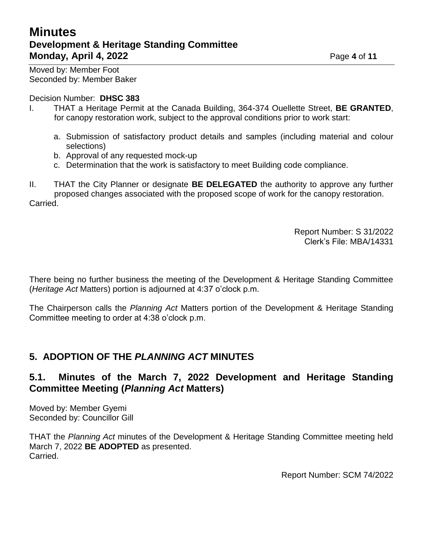# **Minutes Development & Heritage Standing Committee Monday, April 4, 2022 Page 4 of 11**

Moved by: Member Foot Seconded by: Member Baker

### Decision Number: **DHSC 383**

- I. THAT a Heritage Permit at the Canada Building, 364-374 Ouellette Street, **BE GRANTED**, for canopy restoration work, subject to the approval conditions prior to work start:
	- a. Submission of satisfactory product details and samples (including material and colour selections)
	- b. Approval of any requested mock-up
	- c. Determination that the work is satisfactory to meet Building code compliance.

II. THAT the City Planner or designate **BE DELEGATED** the authority to approve any further proposed changes associated with the proposed scope of work for the canopy restoration. Carried.

> Report Number: S 31/2022 Clerk's File: MBA/14331

There being no further business the meeting of the Development & Heritage Standing Committee (*Heritage Act* Matters) portion is adjourned at 4:37 o'clock p.m.

The Chairperson calls the *Planning Act* Matters portion of the Development & Heritage Standing Committee meeting to order at 4:38 o'clock p.m.

## **5. ADOPTION OF THE** *PLANNING ACT* **MINUTES**

## **5.1. Minutes of the March 7, 2022 Development and Heritage Standing Committee Meeting (***Planning Act* **Matters)**

Moved by: Member Gyemi Seconded by: Councillor Gill

THAT the *Planning Act* minutes of the Development & Heritage Standing Committee meeting held March 7, 2022 **BE ADOPTED** as presented. Carried.

Report Number: SCM 74/2022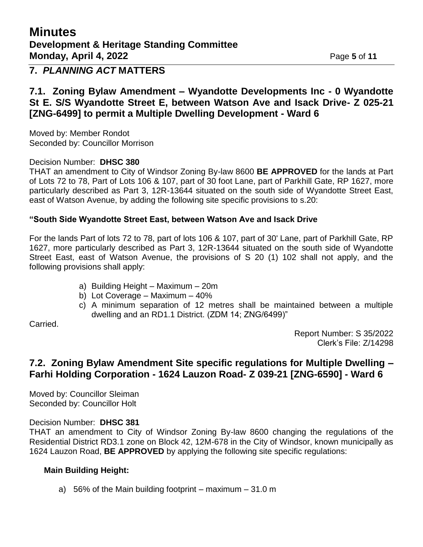## **7.** *PLANNING ACT* **MATTERS**

## **7.1. Zoning Bylaw Amendment – Wyandotte Developments Inc - 0 Wyandotte St E. S/S Wyandotte Street E, between Watson Ave and Isack Drive- Z 025-21 [ZNG-6499] to permit a Multiple Dwelling Development - Ward 6**

Moved by: Member Rondot Seconded by: Councillor Morrison

### Decision Number: **DHSC 380**

THAT an amendment to City of Windsor Zoning By-law 8600 **BE APPROVED** for the lands at Part of Lots 72 to 78, Part of Lots 106 & 107, part of 30 foot Lane, part of Parkhill Gate, RP 1627, more particularly described as Part 3, 12R-13644 situated on the south side of Wyandotte Street East, east of Watson Avenue, by adding the following site specific provisions to s.20:

### **"South Side Wyandotte Street East, between Watson Ave and Isack Drive**

For the lands Part of lots 72 to 78, part of lots 106 & 107, part of 30' Lane, part of Parkhill Gate, RP 1627, more particularly described as Part 3, 12R-13644 situated on the south side of Wyandotte Street East, east of Watson Avenue, the provisions of S 20 (1) 102 shall not apply, and the following provisions shall apply:

- a) Building Height Maximum 20m
- b) Lot Coverage Maximum 40%
- c) A minimum separation of 12 metres shall be maintained between a multiple dwelling and an RD1.1 District. (ZDM 14; ZNG/6499)"

Carried.

Report Number: S 35/2022 Clerk's File: Z/14298

## **7.2. Zoning Bylaw Amendment Site specific regulations for Multiple Dwelling – Farhi Holding Corporation - 1624 Lauzon Road- Z 039-21 [ZNG-6590] - Ward 6**

Moved by: Councillor Sleiman Seconded by: Councillor Holt

Decision Number: **DHSC 381**

THAT an amendment to City of Windsor Zoning By-law 8600 changing the regulations of the Residential District RD3.1 zone on Block 42, 12M-678 in the City of Windsor, known municipally as 1624 Lauzon Road, **BE APPROVED** by applying the following site specific regulations:

### **Main Building Height:**

a) 56% of the Main building footprint – maximum  $-31.0$  m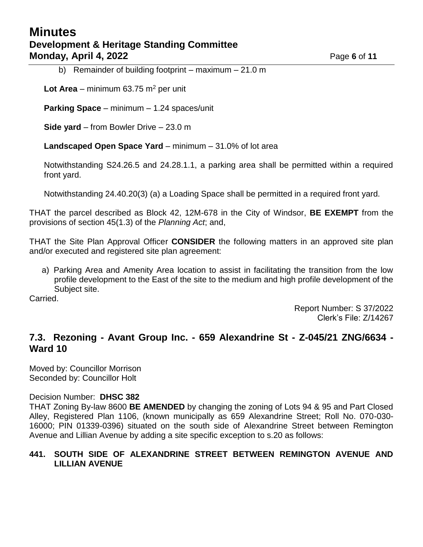# **Minutes Development & Heritage Standing Committee Monday, April 4, 2022 Page 6** of 11

b) Remainder of building footprint – maximum – 21.0 m

**Lot Area** – minimum  $63.75$  m<sup>2</sup> per unit

**Parking Space** – minimum – 1.24 spaces/unit

**Side yard** – from Bowler Drive – 23.0 m

**Landscaped Open Space Yard** – minimum – 31.0% of lot area

Notwithstanding S24.26.5 and 24.28.1.1, a parking area shall be permitted within a required front yard.

Notwithstanding 24.40.20(3) (a) a Loading Space shall be permitted in a required front yard.

THAT the parcel described as Block 42, 12M-678 in the City of Windsor, **BE EXEMPT** from the provisions of section 45(1.3) of the *Planning Act*; and,

THAT the Site Plan Approval Officer **CONSIDER** the following matters in an approved site plan and/or executed and registered site plan agreement:

a) Parking Area and Amenity Area location to assist in facilitating the transition from the low profile development to the East of the site to the medium and high profile development of the Subject site.

Carried.

Report Number: S 37/2022 Clerk's File: Z/14267

## **7.3. Rezoning - Avant Group Inc. - 659 Alexandrine St - Z-045/21 ZNG/6634 - Ward 10**

Moved by: Councillor Morrison Seconded by: Councillor Holt

#### Decision Number: **DHSC 382**

THAT Zoning By-law 8600 **BE AMENDED** by changing the zoning of Lots 94 & 95 and Part Closed Alley, Registered Plan 1106, (known municipally as 659 Alexandrine Street; Roll No. 070-030- 16000; PIN 01339-0396) situated on the south side of Alexandrine Street between Remington Avenue and Lillian Avenue by adding a site specific exception to s.20 as follows:

### **441. SOUTH SIDE OF ALEXANDRINE STREET BETWEEN REMINGTON AVENUE AND LILLIAN AVENUE**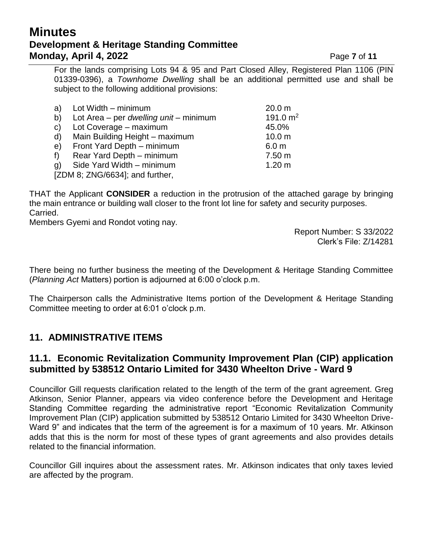# **Minutes Development & Heritage Standing Committee Monday, April 4, 2022 Page 7** of 11

For the lands comprising Lots 94 & 95 and Part Closed Alley, Registered Plan 1106 (PIN 01339-0396), a *Townhome Dwelling* shall be an additional permitted use and shall be subject to the following additional provisions:

| Lot Width - minimum                           | 20.0 m            |
|-----------------------------------------------|-------------------|
| Lot Area – per <i>dwelling unit</i> – minimum | 191.0 $m2$        |
| Lot Coverage - maximum                        | 45.0%             |
| Main Building Height - maximum                | 10.0 <sub>m</sub> |
| Front Yard Depth - minimum                    | 6.0 <sub>m</sub>  |
| Rear Yard Depth - minimum                     | 7.50 m            |
| Side Yard Width - minimum                     | $1.20 \text{ m}$  |
| [ZDM 8; ZNG/6634]; and further,               |                   |
|                                               |                   |

THAT the Applicant **CONSIDER** a reduction in the protrusion of the attached garage by bringing the main entrance or building wall closer to the front lot line for safety and security purposes. Carried.

Members Gyemi and Rondot voting nay.

Report Number: S 33/2022 Clerk's File: Z/14281

There being no further business the meeting of the Development & Heritage Standing Committee (*Planning Act* Matters) portion is adjourned at 6:00 o'clock p.m.

The Chairperson calls the Administrative Items portion of the Development & Heritage Standing Committee meeting to order at 6:01 o'clock p.m.

# **11. ADMINISTRATIVE ITEMS**

## **11.1. Economic Revitalization Community Improvement Plan (CIP) application submitted by 538512 Ontario Limited for 3430 Wheelton Drive - Ward 9**

Councillor Gill requests clarification related to the length of the term of the grant agreement. Greg Atkinson, Senior Planner, appears via video conference before the Development and Heritage Standing Committee regarding the administrative report "Economic Revitalization Community Improvement Plan (CIP) application submitted by 538512 Ontario Limited for 3430 Wheelton Drive-Ward 9" and indicates that the term of the agreement is for a maximum of 10 years. Mr. Atkinson adds that this is the norm for most of these types of grant agreements and also provides details related to the financial information.

Councillor Gill inquires about the assessment rates. Mr. Atkinson indicates that only taxes levied are affected by the program.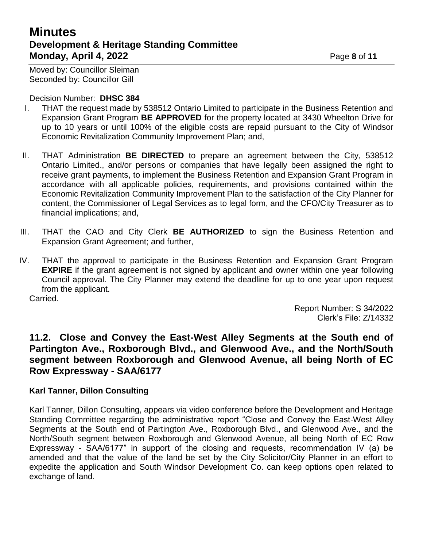# **Minutes Development & Heritage Standing Committee Monday, April 4, 2022 Page 8 of 11**

Moved by: Councillor Sleiman Seconded by: Councillor Gill

Decision Number: **DHSC 384**

- I. THAT the request made by 538512 Ontario Limited to participate in the Business Retention and Expansion Grant Program **BE APPROVED** for the property located at 3430 Wheelton Drive for up to 10 years or until 100% of the eligible costs are repaid pursuant to the City of Windsor Economic Revitalization Community Improvement Plan; and,
- II. THAT Administration **BE DIRECTED** to prepare an agreement between the City, 538512 Ontario Limited., and/or persons or companies that have legally been assigned the right to receive grant payments, to implement the Business Retention and Expansion Grant Program in accordance with all applicable policies, requirements, and provisions contained within the Economic Revitalization Community Improvement Plan to the satisfaction of the City Planner for content, the Commissioner of Legal Services as to legal form, and the CFO/City Treasurer as to financial implications; and,
- III. THAT the CAO and City Clerk **BE AUTHORIZED** to sign the Business Retention and Expansion Grant Agreement; and further,
- IV. THAT the approval to participate in the Business Retention and Expansion Grant Program **EXPIRE** if the grant agreement is not signed by applicant and owner within one year following Council approval. The City Planner may extend the deadline for up to one year upon request from the applicant.

Carried.

Report Number: S 34/2022 Clerk's File: Z/14332

## **11.2. Close and Convey the East-West Alley Segments at the South end of Partington Ave., Roxborough Blvd., and Glenwood Ave., and the North/South segment between Roxborough and Glenwood Avenue, all being North of EC Row Expressway - SAA/6177**

## **Karl Tanner, Dillon Consulting**

Karl Tanner, Dillon Consulting, appears via video conference before the Development and Heritage Standing Committee regarding the administrative report "Close and Convey the East-West Alley Segments at the South end of Partington Ave., Roxborough Blvd., and Glenwood Ave., and the North/South segment between Roxborough and Glenwood Avenue, all being North of EC Row Expressway - SAA/6177" in support of the closing and requests, recommendation IV (a) be amended and that the value of the land be set by the City Solicitor/City Planner in an effort to expedite the application and South Windsor Development Co. can keep options open related to exchange of land.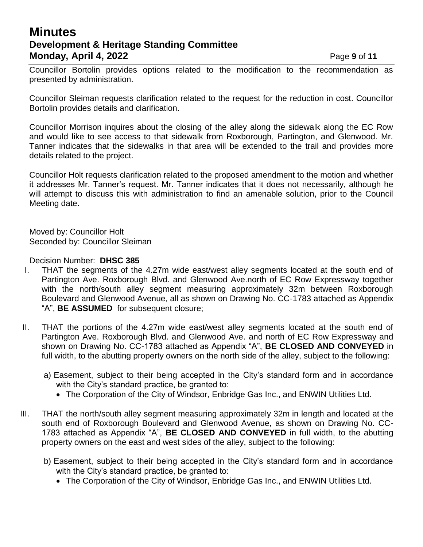# **Minutes Development & Heritage Standing Committee Monday, April 4, 2022 Page 9 of 11**

Councillor Bortolin provides options related to the modification to the recommendation as presented by administration.

Councillor Sleiman requests clarification related to the request for the reduction in cost. Councillor Bortolin provides details and clarification.

Councillor Morrison inquires about the closing of the alley along the sidewalk along the EC Row and would like to see access to that sidewalk from Roxborough, Partington, and Glenwood. Mr. Tanner indicates that the sidewalks in that area will be extended to the trail and provides more details related to the project.

Councillor Holt requests clarification related to the proposed amendment to the motion and whether it addresses Mr. Tanner's request. Mr. Tanner indicates that it does not necessarily, although he will attempt to discuss this with administration to find an amenable solution, prior to the Council Meeting date.

Moved by: Councillor Holt Seconded by: Councillor Sleiman

### Decision Number: **DHSC 385**

- I. THAT the segments of the 4.27m wide east/west alley segments located at the south end of Partington Ave. Roxborough Blvd. and Glenwood Ave.north of EC Row Expressway together with the north/south alley segment measuring approximately 32m between Roxborough Boulevard and Glenwood Avenue, all as shown on Drawing No. CC-1783 attached as Appendix "A", **BE ASSUMED** for subsequent closure;
- II. THAT the portions of the 4.27m wide east/west alley segments located at the south end of Partington Ave. Roxborough Blvd. and Glenwood Ave. and north of EC Row Expressway and shown on Drawing No. CC-1783 attached as Appendix "A", **BE CLOSED AND CONVEYED** in full width, to the abutting property owners on the north side of the alley, subject to the following:
	- a) Easement, subject to their being accepted in the City's standard form and in accordance with the City's standard practice, be granted to:
		- The Corporation of the City of Windsor, Enbridge Gas Inc., and ENWIN Utilities Ltd.
- III. THAT the north/south alley segment measuring approximately 32m in length and located at the south end of Roxborough Boulevard and Glenwood Avenue, as shown on Drawing No. CC-1783 attached as Appendix "A", **BE CLOSED AND CONVEYED** in full width, to the abutting property owners on the east and west sides of the alley, subject to the following:
	- b) Easement, subject to their being accepted in the City's standard form and in accordance with the City's standard practice, be granted to:
		- The Corporation of the City of Windsor, Enbridge Gas Inc., and ENWIN Utilities Ltd.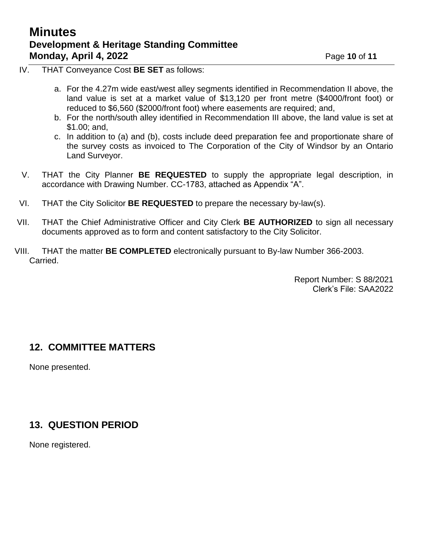# **Minutes Development & Heritage Standing Committee Monday, April 4, 2022** Page **10** of **11**

- IV. THAT Conveyance Cost **BE SET** as follows:
	- a. For the 4.27m wide east/west alley segments identified in Recommendation II above, the land value is set at a market value of \$13,120 per front metre (\$4000/front foot) or reduced to \$6,560 (\$2000/front foot) where easements are required; and,
	- b. For the north/south alley identified in Recommendation III above, the land value is set at \$1.00; and,
	- c. In addition to (a) and (b), costs include deed preparation fee and proportionate share of the survey costs as invoiced to The Corporation of the City of Windsor by an Ontario Land Surveyor.
- V. THAT the City Planner **BE REQUESTED** to supply the appropriate legal description, in accordance with Drawing Number. CC-1783, attached as Appendix "A".
- VI. THAT the City Solicitor **BE REQUESTED** to prepare the necessary by-law(s).
- VII. THAT the Chief Administrative Officer and City Clerk **BE AUTHORIZED** to sign all necessary documents approved as to form and content satisfactory to the City Solicitor.
- VIII. THAT the matter **BE COMPLETED** electronically pursuant to By-law Number 366-2003. Carried.

Report Number: S 88/2021 Clerk's File: SAA2022

## **12. COMMITTEE MATTERS**

None presented.

# **13. QUESTION PERIOD**

None registered.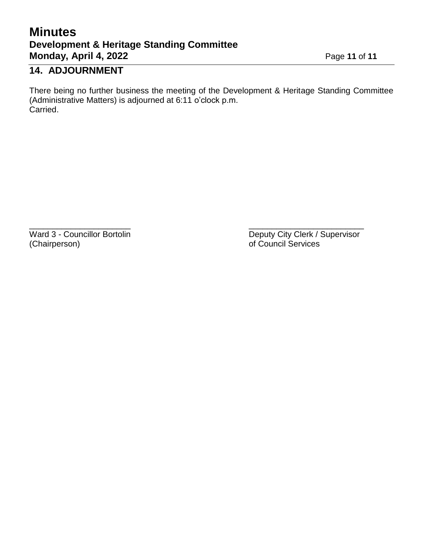# **Minutes Development & Heritage Standing Committee Monday, April 4, 2022** Page 11 of 11

# **14. ADJOURNMENT**

There being no further business the meeting of the Development & Heritage Standing Committee (Administrative Matters) is adjourned at 6:11 o'clock p.m. Carried.

 $\overline{\phantom{a}}$  , and the contract of the contract of the contract of the contract of the contract of the contract of the contract of the contract of the contract of the contract of the contract of the contract of the contrac

Ward 3 - Councillor Bortolin Deputy City Clerk / Supervisor<br>
(Chairperson) of Council Services of Council Services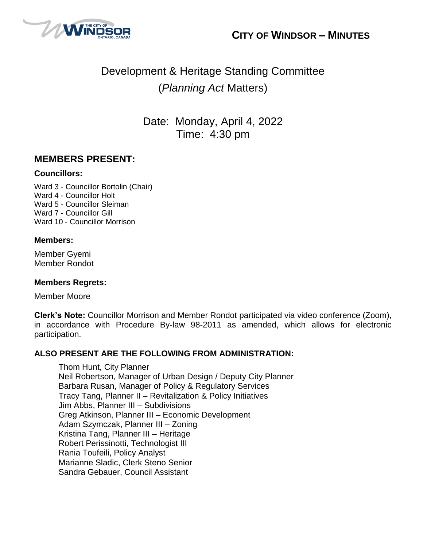



# Development & Heritage Standing Committee (*Planning Act* Matters)

Date: Monday, April 4, 2022 Time: 4:30 pm

## **MEMBERS PRESENT:**

### **Councillors:**

Ward 3 - Councillor Bortolin (Chair) Ward 4 - Councillor Holt Ward 5 - Councillor Sleiman Ward 7 - Councillor Gill Ward 10 - Councillor Morrison

### **Members:**

Member Gyemi Member Rondot

## **Members Regrets:**

Member Moore

**Clerk's Note:** Councillor Morrison and Member Rondot participated via video conference (Zoom), in accordance with Procedure By-law 98-2011 as amended, which allows for electronic participation.

### **ALSO PRESENT ARE THE FOLLOWING FROM ADMINISTRATION:**

Thom Hunt, City Planner Neil Robertson, Manager of Urban Design / Deputy City Planner Barbara Rusan, Manager of Policy & Regulatory Services Tracy Tang, Planner II – Revitalization & Policy Initiatives Jim Abbs, Planner III – Subdivisions Greg Atkinson, Planner III – Economic Development Adam Szymczak, Planner III – Zoning Kristina Tang, Planner III – Heritage Robert Perissinotti, Technologist III Rania Toufeili, Policy Analyst Marianne Sladic, Clerk Steno Senior Sandra Gebauer, Council Assistant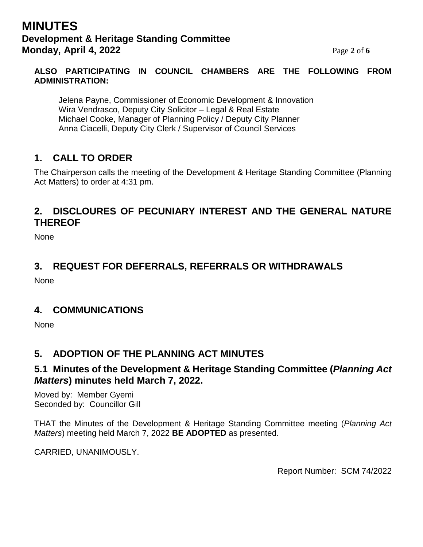# **MINUTES Development & Heritage Standing Committee Monday, April 4, 2022** Page 2 of 6

### **ALSO PARTICIPATING IN COUNCIL CHAMBERS ARE THE FOLLOWING FROM ADMINISTRATION:**

Jelena Payne, Commissioner of Economic Development & Innovation Wira Vendrasco, Deputy City Solicitor – Legal & Real Estate Michael Cooke, Manager of Planning Policy / Deputy City Planner Anna Ciacelli, Deputy City Clerk / Supervisor of Council Services

# **1. CALL TO ORDER**

The Chairperson calls the meeting of the Development & Heritage Standing Committee (Planning Act Matters) to order at 4:31 pm.

## **2. DISCLOURES OF PECUNIARY INTEREST AND THE GENERAL NATURE THEREOF**

None

## **3. REQUEST FOR DEFERRALS, REFERRALS OR WITHDRAWALS**

None

## **4. COMMUNICATIONS**

**None** 

## **5. ADOPTION OF THE PLANNING ACT MINUTES**

## **5.1 Minutes of the Development & Heritage Standing Committee (***Planning Act Matters***) minutes held March 7, 2022.**

Moved by: Member Gyemi Seconded by: Councillor Gill

THAT the Minutes of the Development & Heritage Standing Committee meeting (*Planning Act Matters*) meeting held March 7, 2022 **BE ADOPTED** as presented.

CARRIED, UNANIMOUSLY.

Report Number: SCM 74/2022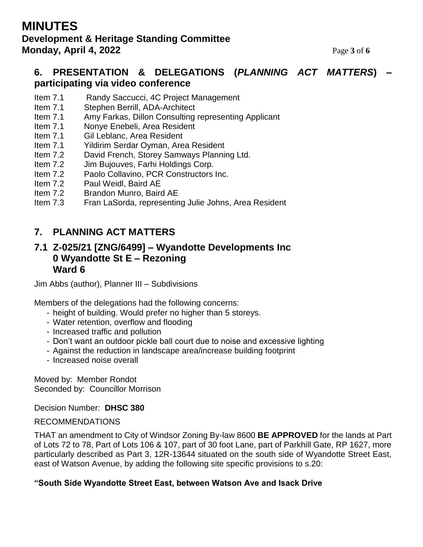# **MINUTES Development & Heritage Standing Committee Monday, April 4, 2022** Page **3** of 6

## **6. PRESENTATION & DELEGATIONS (***PLANNING ACT MATTERS***) – participating via video conference**

- Item 7.1 Randy Saccucci, 4C Project Management
- Item 7.1 Stephen Berrill, ADA-Architect
- Item 7.1 Amy Farkas, Dillon Consulting representing Applicant
- Item 7.1 Nonye Enebeli, Area Resident
- Item 7.1 Gil Leblanc, Area Resident
- Item 7.1 Yildirim Serdar Oyman, Area Resident
- Item 7.2 David French, Storey Samways Planning Ltd.
- Item 7.2 Jim Bujouves, Farhi Holdings Corp.
- Item 7.2 Paolo Collavino, PCR Constructors Inc.
- Item 7.2 Paul Weidl, Baird AE
- Item 7.2 Brandon Munro, Baird AE
- Item 7.3 Fran LaSorda, representing Julie Johns, Area Resident

## **7. PLANNING ACT MATTERS**

## **7.1 Z-025/21 [ZNG/6499] – Wyandotte Developments Inc 0 Wyandotte St E – Rezoning Ward 6**

Jim Abbs (author), Planner III – Subdivisions

Members of the delegations had the following concerns:

- height of building. Would prefer no higher than 5 storeys.
- Water retention, overflow and flooding
- Increased traffic and pollution
- Don't want an outdoor pickle ball court due to noise and excessive lighting
- Against the reduction in landscape area/increase building footprint
- Increased noise overall

Moved by: Member Rondot Seconded by: Councillor Morrison

Decision Number: **DHSC 380**

### RECOMMENDATIONS

THAT an amendment to City of Windsor Zoning By-law 8600 **BE APPROVED** for the lands at Part of Lots 72 to 78, Part of Lots 106 & 107, part of 30 foot Lane, part of Parkhill Gate, RP 1627, more particularly described as Part 3, 12R-13644 situated on the south side of Wyandotte Street East, east of Watson Avenue, by adding the following site specific provisions to s.20:

### **"South Side Wyandotte Street East, between Watson Ave and Isack Drive**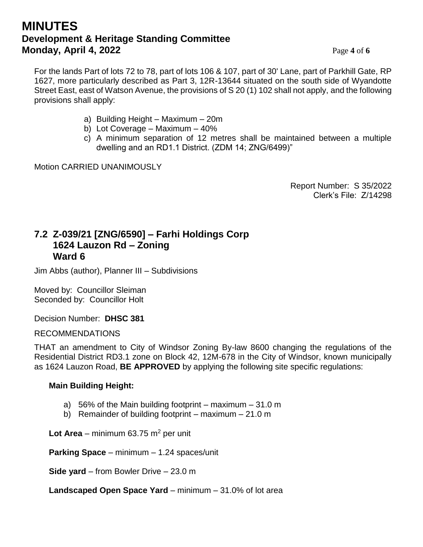# **MINUTES Development & Heritage Standing Committee Monday, April 4, 2022** Page 4 of 6

For the lands Part of lots 72 to 78, part of lots 106 & 107, part of 30' Lane, part of Parkhill Gate, RP 1627, more particularly described as Part 3, 12R-13644 situated on the south side of Wyandotte Street East, east of Watson Avenue, the provisions of S 20 (1) 102 shall not apply, and the following provisions shall apply:

- a) Building Height Maximum 20m
- b) Lot Coverage Maximum 40%
- c) A minimum separation of 12 metres shall be maintained between a multiple dwelling and an RD1.1 District. (ZDM 14; ZNG/6499)"

Motion CARRIED UNANIMOUSLY

Report Number: S 35/2022 Clerk's File: Z/14298

## **7.2 Z-039/21 [ZNG/6590] – Farhi Holdings Corp 1624 Lauzon Rd – Zoning Ward 6**

Jim Abbs (author), Planner III – Subdivisions

Moved by: Councillor Sleiman Seconded by: Councillor Holt

Decision Number: **DHSC 381**

**I** RECOMMENDATIONS

THAT an amendment to City of Windsor Zoning By-law 8600 changing the regulations of the Residential District RD3.1 zone on Block 42, 12M-678 in the City of Windsor, known municipally as 1624 Lauzon Road, **BE APPROVED** by applying the following site specific regulations:

## **Main Building Height:**

- a) 56% of the Main building footprint maximum  $-31.0$  m
- b) Remainder of building footprint maximum 21.0 m

Lot Area – minimum 63.75 m<sup>2</sup> per unit

**Parking Space** – minimum – 1.24 spaces/unit

**Side yard** – from Bowler Drive – 23.0 m

**Landscaped Open Space Yard** – minimum – 31.0% of lot area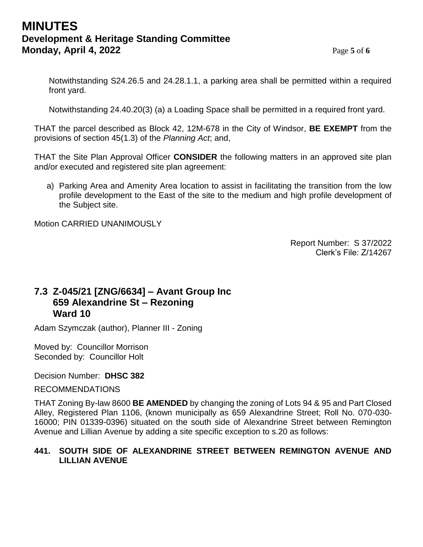# **MINUTES Development & Heritage Standing Committee Monday, April 4, 2022** Page 5 of 6

Notwithstanding S24.26.5 and 24.28.1.1, a parking area shall be permitted within a required front yard.

Notwithstanding 24.40.20(3) (a) a Loading Space shall be permitted in a required front yard.

THAT the parcel described as Block 42, 12M-678 in the City of Windsor, **BE EXEMPT** from the provisions of section 45(1.3) of the *Planning Act*; and,

THAT the Site Plan Approval Officer **CONSIDER** the following matters in an approved site plan and/or executed and registered site plan agreement:

a) Parking Area and Amenity Area location to assist in facilitating the transition from the low profile development to the East of the site to the medium and high profile development of the Subject site.

Motion CARRIED UNANIMOUSLY

Report Number: S 37/2022 Clerk's File: Z/14267

# **7.3 Z-045/21 [ZNG/6634] – Avant Group Inc 659 Alexandrine St – Rezoning Ward 10**

Adam Szymczak (author), Planner III - Zoning

Moved by: Councillor Morrison Seconded by: Councillor Holt

### Decision Number: **DHSC 382**

### RECOMMENDATIONS

THAT Zoning By-law 8600 **BE AMENDED** by changing the zoning of Lots 94 & 95 and Part Closed Alley, Registered Plan 1106, (known municipally as 659 Alexandrine Street; Roll No. 070-030- 16000; PIN 01339-0396) situated on the south side of Alexandrine Street between Remington Avenue and Lillian Avenue by adding a site specific exception to s.20 as follows:

### **441. SOUTH SIDE OF ALEXANDRINE STREET BETWEEN REMINGTON AVENUE AND LILLIAN AVENUE**